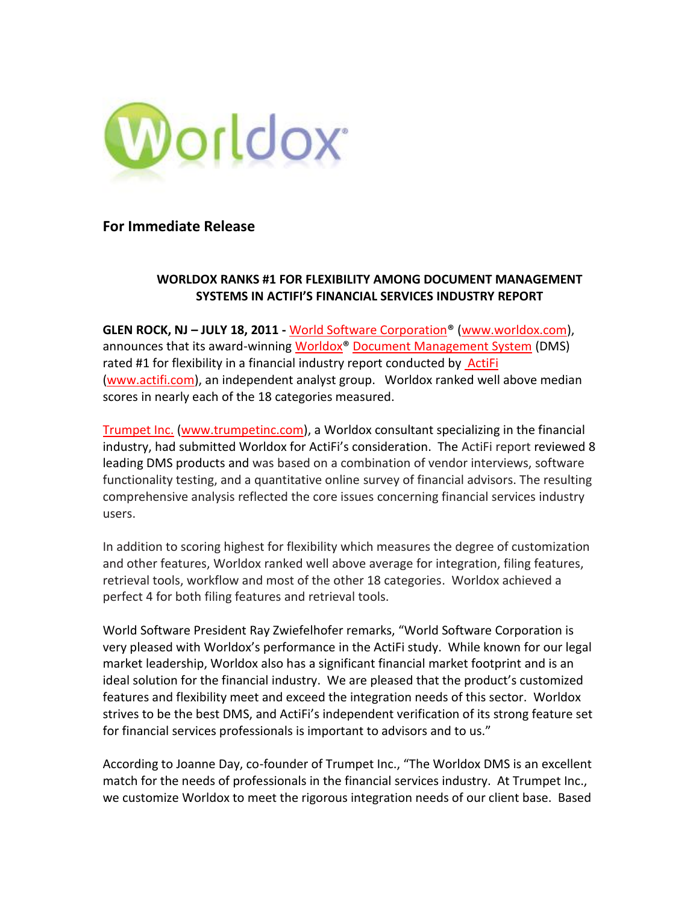

**For Immediate Release**

# **WORLDOX RANKS #1 FOR FLEXIBILITY AMONG DOCUMENT MANAGEMENT SYSTEMS IN ACTIFI'S FINANCIAL SERVICES INDUSTRY REPORT**

**GLEN ROCK, NJ – JULY 18, 2011 -** [World Software Corporation®](http://www.worldox.com/) [\(www.worldox.com\)](http://www.worldox.com/), announces that its award-winning [Worldox® Document Management System](http://www.worldox.com/) (DMS) rated #1 for flexibility in a financial industry report conducted by ActiFi [\(www.actifi.com\)](http://www.actifi.com/), an independent analyst group. Worldox ranked well above median scores in nearly each of the 18 categories measured.

[Trumpet Inc.](http://www.trumpetinc.com/) [\(www.trumpetinc.com\)](http://www.trumpetinc.com/), a Worldox consultant specializing in the financial industry, had submitted Worldox for ActiFi's consideration. The ActiFi report reviewed 8 leading DMS products and was based on a combination of vendor interviews, software functionality testing, and a quantitative online survey of financial advisors. The resulting comprehensive analysis reflected the core issues concerning financial services industry users.

In addition to scoring highest for flexibility which measures the degree of customization and other features, Worldox ranked well above average for integration, filing features, retrieval tools, workflow and most of the other 18 categories. Worldox achieved a perfect 4 for both filing features and retrieval tools.

World Software President Ray Zwiefelhofer remarks, "World Software Corporation is very pleased with Worldox's performance in the ActiFi study. While known for our legal market leadership, Worldox also has a significant financial market footprint and is an ideal solution for the financial industry. We are pleased that the product's customized features and flexibility meet and exceed the integration needs of this sector. Worldox strives to be the best DMS, and ActiFi's independent verification of its strong feature set for financial services professionals is important to advisors and to us."

According to Joanne Day, co-founder of Trumpet Inc., "The Worldox DMS is an excellent match for the needs of professionals in the financial services industry. At Trumpet Inc., we customize Worldox to meet the rigorous integration needs of our client base. Based